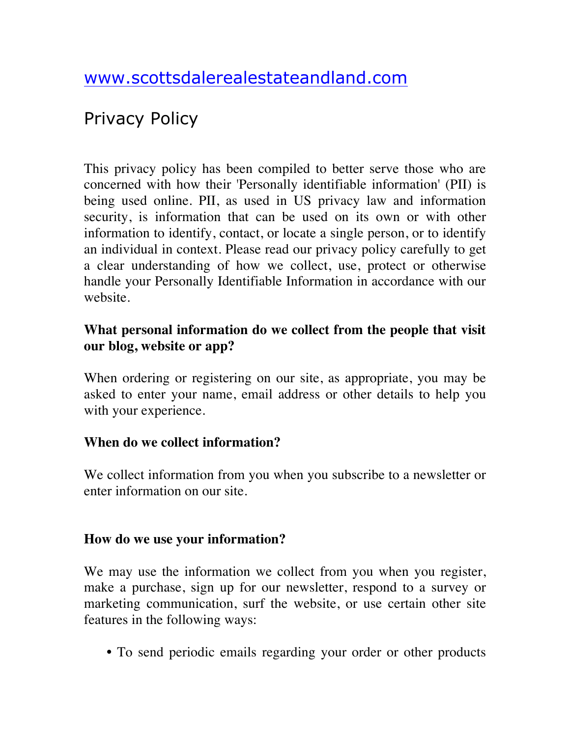# Privacy Policy

This privacy policy has been compiled to better serve those who are concerned with how their 'Personally identifiable information' (PII) is being used online. PII, as used in US privacy law and information security, is information that can be used on its own or with other information to identify, contact, or locate a single person, or to identify an individual in context. Please read our privacy policy carefully to get a clear understanding of how we collect, use, protect or otherwise handle your Personally Identifiable Information in accordance with our website.

#### **What personal information do we collect from the people that visit our blog, website or app?**

When ordering or registering on our site, as appropriate, you may be asked to enter your name, email address or other details to help you with your experience.

#### **When do we collect information?**

We collect information from you when you subscribe to a newsletter or enter information on our site.

#### **How do we use your information?**

We may use the information we collect from you when you register, make a purchase, sign up for our newsletter, respond to a survey or marketing communication, surf the website, or use certain other site features in the following ways:

**•** To send periodic emails regarding your order or other products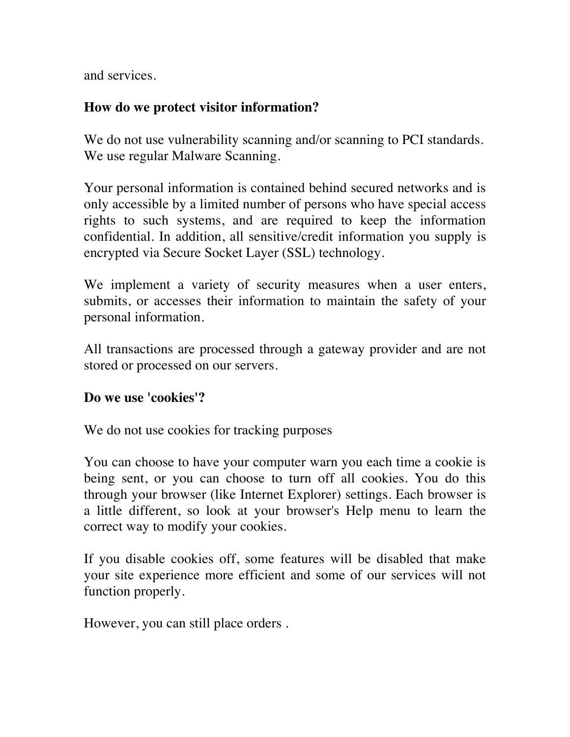and services.

# **How do we protect visitor information?**

We do not use vulnerability scanning and/or scanning to PCI standards. We use regular Malware Scanning.

Your personal information is contained behind secured networks and is only accessible by a limited number of persons who have special access rights to such systems, and are required to keep the information confidential. In addition, all sensitive/credit information you supply is encrypted via Secure Socket Layer (SSL) technology.

We implement a variety of security measures when a user enters, submits, or accesses their information to maintain the safety of your personal information.

All transactions are processed through a gateway provider and are not stored or processed on our servers.

#### **Do we use 'cookies'?**

We do not use cookies for tracking purposes

You can choose to have your computer warn you each time a cookie is being sent, or you can choose to turn off all cookies. You do this through your browser (like Internet Explorer) settings. Each browser is a little different, so look at your browser's Help menu to learn the correct way to modify your cookies.

If you disable cookies off, some features will be disabled that make your site experience more efficient and some of our services will not function properly.

However, you can still place orders .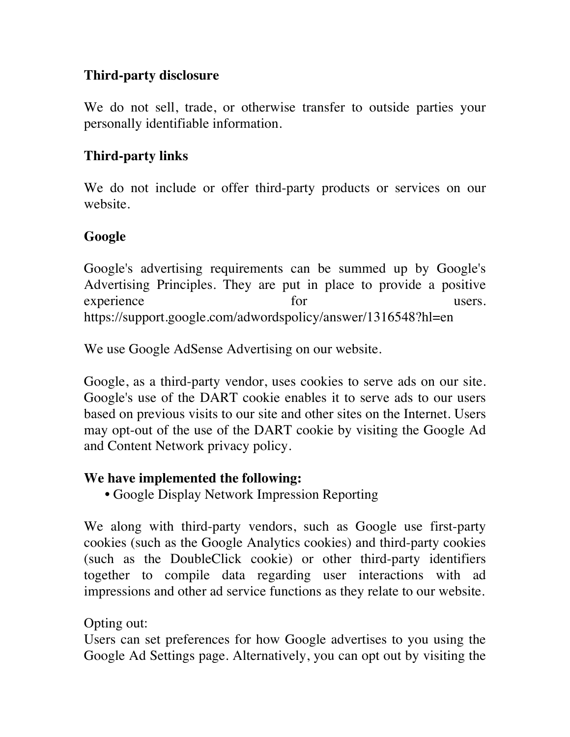## **Third-party disclosure**

We do not sell, trade, or otherwise transfer to outside parties your personally identifiable information.

## **Third-party links**

We do not include or offer third-party products or services on our website.

## **Google**

Google's advertising requirements can be summed up by Google's Advertising Principles. They are put in place to provide a positive experience for the users. https://support.google.com/adwordspolicy/answer/1316548?hl=en

We use Google AdSense Advertising on our website.

Google, as a third-party vendor, uses cookies to serve ads on our site. Google's use of the DART cookie enables it to serve ads to our users based on previous visits to our site and other sites on the Internet. Users may opt-out of the use of the DART cookie by visiting the Google Ad and Content Network privacy policy.

#### **We have implemented the following:**

**•** Google Display Network Impression Reporting

We along with third-party vendors, such as Google use first-party cookies (such as the Google Analytics cookies) and third-party cookies (such as the DoubleClick cookie) or other third-party identifiers together to compile data regarding user interactions with ad impressions and other ad service functions as they relate to our website.

# Opting out:

Users can set preferences for how Google advertises to you using the Google Ad Settings page. Alternatively, you can opt out by visiting the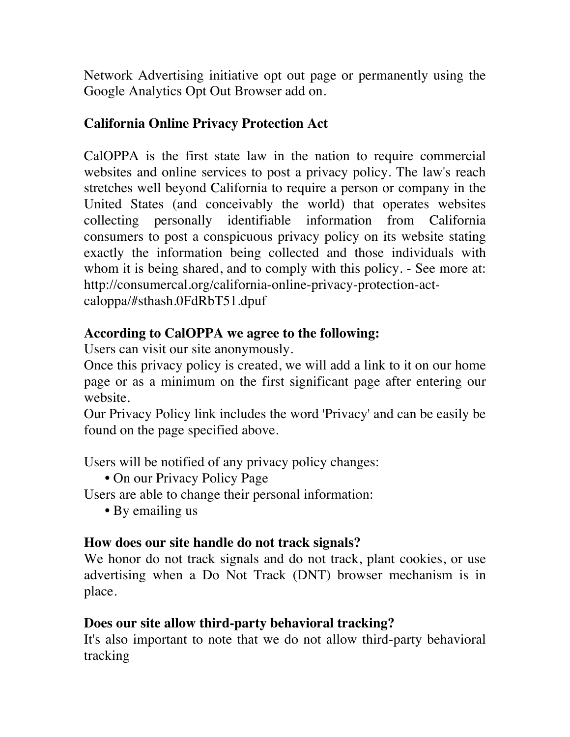Network Advertising initiative opt out page or permanently using the Google Analytics Opt Out Browser add on.

# **California Online Privacy Protection Act**

CalOPPA is the first state law in the nation to require commercial websites and online services to post a privacy policy. The law's reach stretches well beyond California to require a person or company in the United States (and conceivably the world) that operates websites collecting personally identifiable information from California consumers to post a conspicuous privacy policy on its website stating exactly the information being collected and those individuals with whom it is being shared, and to comply with this policy. - See more at: http://consumercal.org/california-online-privacy-protection-actcaloppa/#sthash.0FdRbT51.dpuf

#### **According to CalOPPA we agree to the following:**

Users can visit our site anonymously.

Once this privacy policy is created, we will add a link to it on our home page or as a minimum on the first significant page after entering our website.

Our Privacy Policy link includes the word 'Privacy' and can be easily be found on the page specified above.

Users will be notified of any privacy policy changes:

**•** On our Privacy Policy Page

Users are able to change their personal information:

**•** By emailing us

#### **How does our site handle do not track signals?**

We honor do not track signals and do not track, plant cookies, or use advertising when a Do Not Track (DNT) browser mechanism is in place.

#### **Does our site allow third-party behavioral tracking?**

It's also important to note that we do not allow third-party behavioral tracking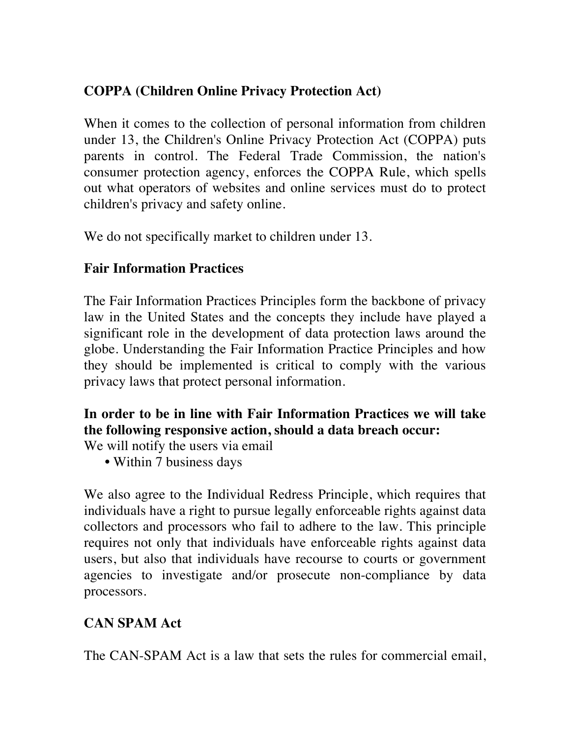# **COPPA (Children Online Privacy Protection Act)**

When it comes to the collection of personal information from children under 13, the Children's Online Privacy Protection Act (COPPA) puts parents in control. The Federal Trade Commission, the nation's consumer protection agency, enforces the COPPA Rule, which spells out what operators of websites and online services must do to protect children's privacy and safety online.

We do not specifically market to children under 13.

## **Fair Information Practices**

The Fair Information Practices Principles form the backbone of privacy law in the United States and the concepts they include have played a significant role in the development of data protection laws around the globe. Understanding the Fair Information Practice Principles and how they should be implemented is critical to comply with the various privacy laws that protect personal information.

# **In order to be in line with Fair Information Practices we will take the following responsive action, should a data breach occur:**

We will notify the users via email

**•** Within 7 business days

We also agree to the Individual Redress Principle, which requires that individuals have a right to pursue legally enforceable rights against data collectors and processors who fail to adhere to the law. This principle requires not only that individuals have enforceable rights against data users, but also that individuals have recourse to courts or government agencies to investigate and/or prosecute non-compliance by data processors.

# **CAN SPAM Act**

The CAN-SPAM Act is a law that sets the rules for commercial email,